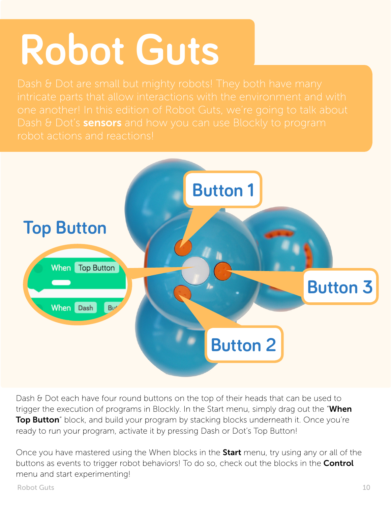## **Robot Guts**

Dash  $\theta$  Dot's **sensors** and how you can use Blockly to program robot actions and reactions!



Dash & Dot each have four round buttons on the top of their heads that can be used to trigger the execution of programs in Blockly. In the Start menu, simply drag out the "When **Top Button**" block, and build your program by stacking blocks underneath it. Once you're ready to run your program, activate it by pressing Dash or Dot's Top Button!

Once you have mastered using the When blocks in the **Start** menu, try using any or all of the buttons as events to trigger robot behaviors! To do so, check out the blocks in the **Control** menu and start experimenting!

Robot Guts 10